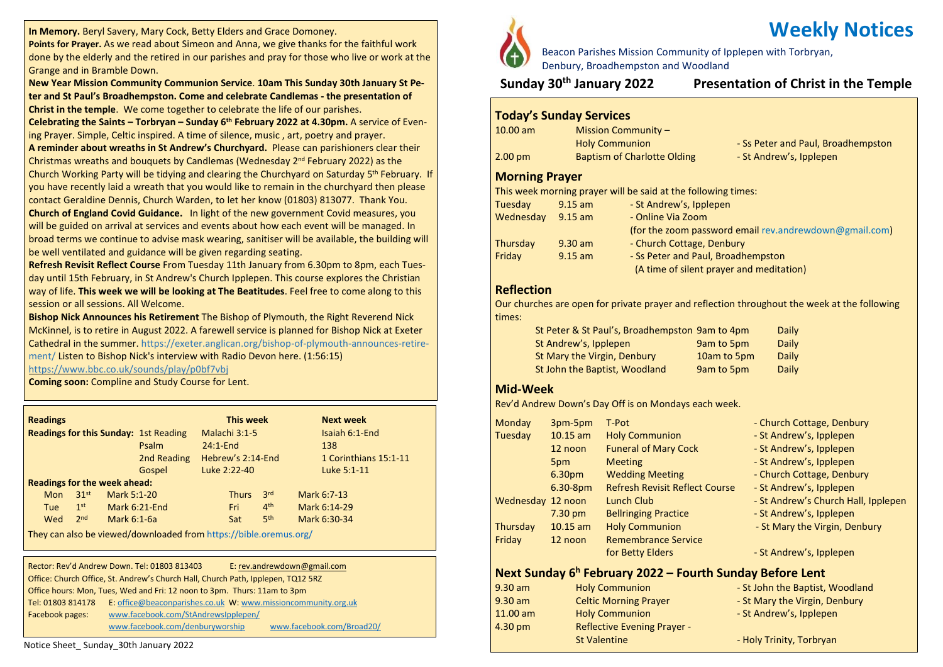**In Memory.** Beryl Savery, Mary Cock, Betty Elders and Grace Domoney.

**Points for Prayer.** As we read about Simeon and Anna, we give thanks for the faithful work done by the elderly and the retired in our parishes and pray for those who live or work at the Grange and in Bramble Down.

**New Year Mission Community Communion Service**. **10am This Sunday 30th January St Peter and St Paul's Broadhempston. Come and celebrate Candlemas - the presentation of Christ in the temple**. We come together to celebrate the life of our parishes.

**Celebrating the Saints – Torbryan – Sunday 6 th February 2022 at 4.30pm.** A service of Evening Prayer. Simple, Celtic inspired. A time of silence, music , art, poetry and prayer.

**A reminder about wreaths in St Andrew's Churchyard.** Please can parishioners clear their Christmas wreaths and bouquets by Candlemas (Wednesday 2<sup>nd</sup> February 2022) as the Church Working Party will be tidying and clearing the Churchyard on Saturday 5<sup>th</sup> February. If you have recently laid a wreath that you would like to remain in the churchyard then please contact Geraldine Dennis, Church Warden, to let her know (01803) 813077. Thank You. **Church of England Covid Guidance.** In light of the new government Covid measures, you will be guided on arrival at services and events about how each event will be managed. In broad terms we continue to advise mask wearing, sanitiser will be available, the building will be well ventilated and guidance will be given regarding seating.

**Refresh Revisit Reflect Course** From Tuesday 11th January from 6.30pm to 8pm, each Tuesday until 15th February, in St Andrew's Church Ipplepen. This course explores the Christian way of life. **This week we will be looking at The Beatitudes**. Feel free to come along to this session or all sessions. All Welcome.

**Bishop Nick Announces his Retirement** The Bishop of Plymouth, the Right Reverend Nick McKinnel, is to retire in August 2022. A farewell service is planned for Bishop Nick at Exeter Cathedral in the summer. [https://exeter.anglican.org/bishop-of-plymouth-announces-retire](https://exeter.anglican.org/bishop-of-plymouth-announces-retirement/)[ment/](https://exeter.anglican.org/bishop-of-plymouth-announces-retirement/) Listen to Bishop Nick's interview with Radio Devon here. (1:56:15)

<https://www.bbc.co.uk/sounds/play/p0bf7vbj>

**Coming soon:** Compline and Study Course for Lent.

| <b>Readings</b>                              |                  |             |               |               | This week         |                 | <b>Next week</b>      |
|----------------------------------------------|------------------|-------------|---------------|---------------|-------------------|-----------------|-----------------------|
| <b>Readings for this Sunday: 1st Reading</b> |                  |             |               | Malachi 3:1-5 |                   | Isaiah 6:1-End  |                       |
|                                              |                  |             | Psalm         | $24:1$ -End   |                   |                 | 138                   |
|                                              |                  |             | 2nd Reading   |               | Hebrew's 2:14-End |                 | 1 Corinthians 15:1-11 |
|                                              |                  |             | Gospel        |               | Luke 2:22-40      |                 | Luke 5:1-11           |
| <b>Readings for the week ahead:</b>          |                  |             |               |               |                   |                 |                       |
| <b>Mon</b>                                   | 31 <sup>st</sup> | Mark 5:1-20 |               |               | <b>Thurs</b>      | 3 <sup>rd</sup> | Mark 6:7-13           |
| Tue                                          | 1 <sup>st</sup>  |             | Mark 6:21-End |               | Fri               | 4 <sup>th</sup> | Mark 6:14-29          |
| Wed                                          | 2 <sub>nd</sub>  | Mark 6:1-6a |               |               | Sat               | 5 <sup>th</sup> | Mark 6:30-34          |

They can also be viewed/downloaded from <https://bible.oremus.org/>

Rector: Rev'd Andrew Down. Tel: 01803 813403 E: [rev.andrewdown@gmail.com](mailto:rev.andrewdown@gmail.com) Office: Church Office, St. Andrew's Church Hall, Church Path, Ipplepen, TQ12 5RZ Office hours: Mon, Tues, Wed and Fri: 12 noon to 3pm. Thurs: 11am to 3pm Tel: 01803 814178 E: [office@beaconparishes.co.uk](mailto:office@beaconparishes.co.uk) W: [www.missioncommunity.org.uk](http://www.missioncommunity.org.uk/) Facebook pages: [www.facebook.com/StAndrewsIpplepen/](http://www.facebook.com/StAndrewsIpplepen/) [www.facebook.com/denburyworship](http://www.facebook.com/denburyworship) [www.facebook.com/Broad20/](http://www.facebook.com/Broad20/)

Notice Sheet\_ Sunday\_30th January 2022



# **Weekly Notices**

Beacon Parishes Mission Community of Ipplepen with Torbryan, Denbury, Broadhempston and Woodland

**Sunday 30th January 2022 Presentation of Christ in the Temple**

#### **Today's Sunday Services**

| $10.00$ am        | <b>Mission Community -</b>         |                                    |
|-------------------|------------------------------------|------------------------------------|
|                   | <b>Holy Communion</b>              | - Ss Peter and Paul, Broadhempston |
| $2.00 \text{ pm}$ | <b>Baptism of Charlotte Olding</b> | - St Andrew's, Ipplepen            |

#### **Morning Prayer**

This week morning prayer will be said at the following times:

| $9.15$ am | - St Andrew's, Ipplepen                                |
|-----------|--------------------------------------------------------|
| $9.15$ am | - Online Via Zoom                                      |
|           | (for the zoom password email rev.andrewdown@gmail.com) |
| $9.30$ am | - Church Cottage, Denbury                              |
| $9.15$ am | - Ss Peter and Paul, Broadhempston                     |
|           | (A time of silent prayer and meditation)               |
|           |                                                        |

#### **Reflection**

Our churches are open for private prayer and reflection throughout the week at the following times:

| St Peter & St Paul's, Broadhempston 9am to 4pm |             | Daily |
|------------------------------------------------|-------------|-------|
| St Andrew's, Ipplepen                          | 9am to 5pm  | Daily |
| St Mary the Virgin, Denbury                    | 10am to 5pm | Daily |
| St John the Baptist, Woodland                  | 9am to 5pm  | Daily |

#### **Mid-Week**

Rev'd Andrew Down's Day Off is on Mondays each week.

| <b>Monday</b>     | 3pm-5pm            | T-Pot                                 | - Church Cottage, Denbury           |
|-------------------|--------------------|---------------------------------------|-------------------------------------|
| Tuesday           | $10.15$ am         | <b>Holy Communion</b>                 | - St Andrew's, Ipplepen             |
|                   | 12 noon            | <b>Funeral of Mary Cock</b>           | - St Andrew's, Ipplepen             |
|                   | 5pm                | <b>Meeting</b>                        | - St Andrew's, Ipplepen             |
|                   | 6.30 <sub>pm</sub> | <b>Wedding Meeting</b>                | - Church Cottage, Denbury           |
|                   | $6.30-8pm$         | <b>Refresh Revisit Reflect Course</b> | - St Andrew's, Ipplepen             |
| Wednesday 12 noon |                    | Lunch Club                            | - St Andrew's Church Hall, Ipplepen |
|                   | $7.30 \text{ pm}$  | <b>Bellringing Practice</b>           | - St Andrew's, Ipplepen             |
| Thursday          | $10.15$ am         | <b>Holy Communion</b>                 | - St Mary the Virgin, Denbury       |
| Friday            | 12 noon            | <b>Remembrance Service</b>            |                                     |
|                   |                    | for Betty Elders                      | - St Andrew's, Ipplepen             |

### **Next Sunday 6 <sup>h</sup> February 2022 – Fourth Sunday Before Lent**

| $9.30$ am         | <b>Holy Communion</b>              | - St John the Baptist, Woodland |
|-------------------|------------------------------------|---------------------------------|
| $9.30$ am         | <b>Celtic Morning Prayer</b>       | - St Mary the Virgin, Denbury   |
| $11.00$ am        | <b>Holy Communion</b>              | - St Andrew's, Ipplepen         |
| $4.30 \text{ pm}$ | <b>Reflective Evening Prayer -</b> |                                 |
|                   | <b>St Valentine</b>                | - Holy Trinity, Torbryan        |
|                   |                                    |                                 |